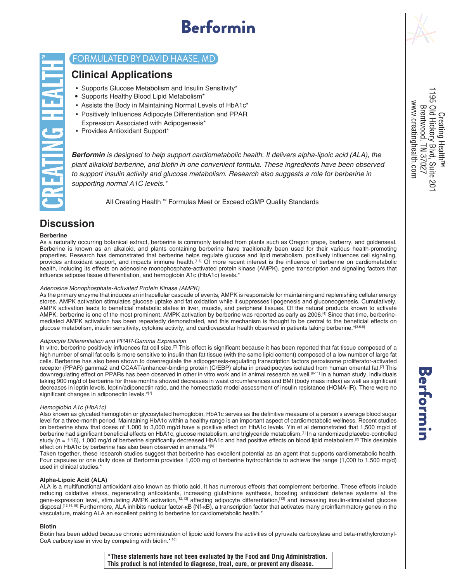# Berformin



### FORMULATED BY DAVID HAASE, MD

### **Clinical Applications**

- Supports Glucose Metabolism and Insulin Sensitivity\*
- Supports Healthy Blood Lipid Metabolism\*
- Assists the Body in Maintaining Normal Levels of HbA1c\*
- Positively Influences Adipocyte Differentiation and PPAR Expression Associated with Adipogenesis\*
- Provides Antioxidant Support\*

*Berformin is designed to help support cardiometabolic health. It delivers alpha-lipoic acid (ALA), the plant alkaloid berberine, and biotin in one convenient formula. These ingredients have been observed to support insulin activity and glucose metabolism. Research also suggests a role for berberine in supporting normal A1C levels.\**

All Creating Health ™ Formulas Meet or Exceed cGMP Quality Standards

# **Discussion**

#### **Berberine**

As a naturally occurring botanical extract, berberine is commonly isolated from plants such as Oregon grape, barberry, and goldenseal. Berberine is known as an alkaloid, and plants containing berberine have traditionally been used for their various health-promoting properties. Research has demonstrated that berberine helps regulate glucose and lipid metabolism, positively influences cell signaling, provides antioxidant support, and impacts immune health.<sup>[1-3]</sup> Of more recent interest is the influence of berberine on cardiometabolic health, including its effects on adenosine monophosphate-activated protein kinase (AMPK), gene transcription and signaling factors that influence adipose tissue differentiation, and hemoglobin A1c (HbA1c) levels.\*

#### *Adenosine Monophosphate-Activated Protein Kinase (AMPK)*

As the primary enzyme that induces an intracellular cascade of events, AMPK is responsible for maintaining and replenishing cellular energy stores. AMPK activation stimulates glucose uptake and fat oxidation while it suppresses lipogenesis and gluconeogenesis. Cumulatively, AMPK activation leads to beneficial metabolic states in liver, muscle, and peripheral tissues. Of the natural products known to activate AMPK, berberine is one of the most prominent. AMPK activation by berberine was reported as early as 2006.[4] Since that time, berberinemediated AMPK activation has been repeatedly demonstrated, and this mechanism is thought to be central to the beneficial effects on glucose metabolism, insulin sensitivity, cytokine activity, and cardiovascular health observed in patients taking berberine.\*[3,5,6]

#### *Adipocyte Differentiation and PPAR-Gamma Expression*

In vitro, berberine positively influences fat cell size.<sup>[7]</sup> This effect is significant because it has been reported that fat tissue composed of a high number of small fat cells is more sensitive to insulin than fat tissue (with the same lipid content) composed of a low number of large fat cells. Berberine has also been shown to downregulate the adipogenesis-regulating transcription factors peroxisome proliferator-activated receptor (PPAR) gamma2 and CCAAT/enhancer-binding protein (C/EBP) alpha in preadipocytes isolated from human omental fat.<sup>[7]</sup> This downregulating effect on PPARs has been observed in other in vitro work and in animal research as well.[8-11] In a human study, individuals taking 900 mg/d of berberine for three months showed decreases in waist circumferences and BMI (body mass index) as well as significant decreases in leptin levels, leptin/adiponectin ratio, and the homeostatic model assessment of insulin resistance (HOMA-IR). There were no significant changes in adiponectin levels.\*[7]

#### *Hemoglobin A1c (HbA1c)*

Also known as glycated hemoglobin or glycosylated hemoglobin, HbA1c serves as the definitive measure of a person's average blood sugar level for a three-month period. Maintaining HbA1c within a healthy range is an important aspect of cardiometabolic wellness. Recent studies on berberine show that doses of 1,000 to 3,000 mg/d have a positive effect on HbA1c levels. Yin et al demonstrated that 1,500 mg/d of berberine had significant beneficial effects on HbA1c, glucose metabolism, and triglyceride metabolism.[1] In a randomized placebo-controlled study (n = 116), 1,000 mg/d of berberine significantly decreased HbA1c and had positive effects on blood lipid metabolism.<sup>[2]</sup> This desirable effect on HbA1c by berberine has also been observed in animals.\*[8]

Taken together, these research studies suggest that berberine has excellent potential as an agent that supports cardiometabolic health. Four capsules or one daily dose of Berformin provides 1,000 mg of berberine hydrochloride to achieve the range (1,000 to 1,500 mg/d) used in clinical studies.\*

#### **Alpha-Lipoic Acid (ALA)**

ALA is a multifunctional antioxidant also known as thiotic acid. It has numerous effects that complement berberine. These effects include reducing oxidative stress, regenerating antioxidants, increasing glutathione synthesis, boosting antioxidant defense systems at the gene-expression level, stimulating AMPK activation,<sup>[12,13]</sup> affecting adipocyte differentiation,<sup>[13]</sup> and increasing insulin-stimulated glucose disposal.[12,14,15] Furthermore, ALA inhibits nuclear factor-κB (Nf-κB), a transcription factor that activates many proinflammatory genes in the vasculature, making ALA an excellent pairing to berberine for cardiometabolic health.\*

#### **Biotin**

Biotin has been added because chronic administration of lipoic acid lowers the activities of pyruvate carboxylase and beta-methylcrotonyl-CoA carboxylase in vivo by competing with biotin.\*[16]

1195 Old Hickory Blvd, Suite 20 www.creatinghealth.com Brentwood, TN 37027 Creating Health™